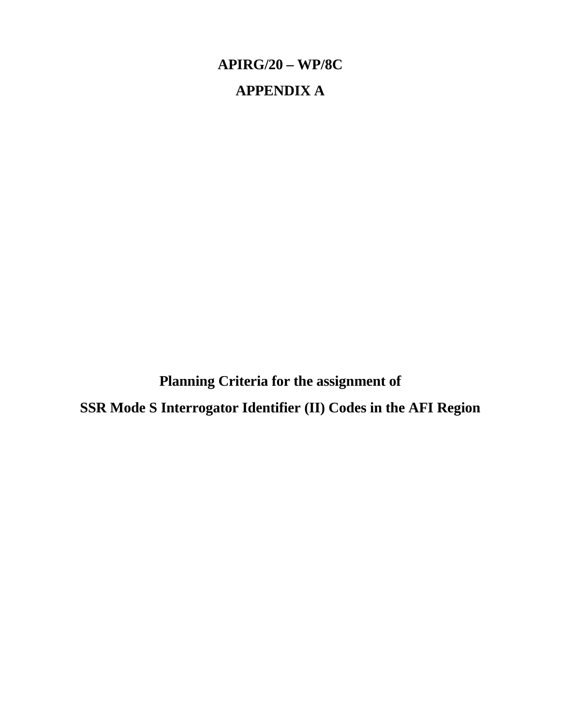# **APIRG/20 – WP/8C APPENDIX A**

**Planning Criteria for the assignment of SSR Mode S Interrogator Identifier (II) Codes in the AFI Region**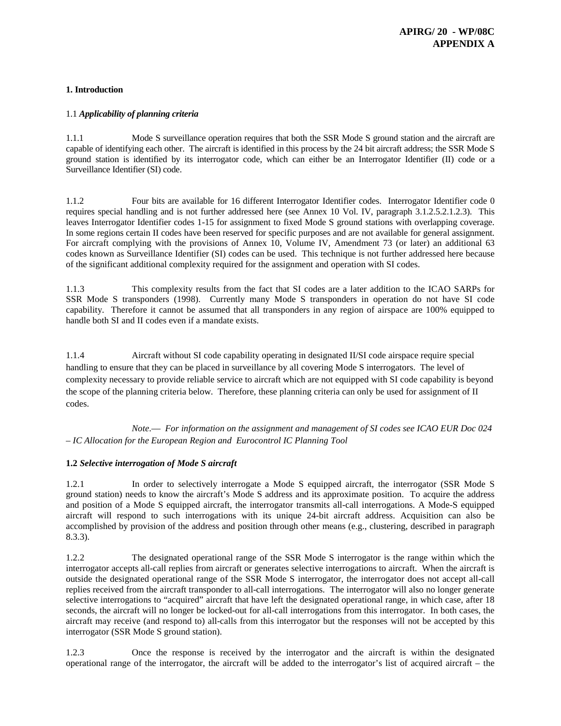#### **1. Introduction**

## 1.1 *Applicability of planning criteria*

1.1.1 Mode S surveillance operation requires that both the SSR Mode S ground station and the aircraft are capable of identifying each other. The aircraft is identified in this process by the 24 bit aircraft address; the SSR Mode S ground station is identified by its interrogator code, which can either be an Interrogator Identifier (II) code or a Surveillance Identifier (SI) code.

1.1.2 Four bits are available for 16 different Interrogator Identifier codes. Interrogator Identifier code 0 requires special handling and is not further addressed here (see Annex 10 Vol. IV, paragraph 3.1.2.5.2.1.2.3). This leaves Interrogator Identifier codes 1-15 for assignment to fixed Mode S ground stations with overlapping coverage. In some regions certain II codes have been reserved for specific purposes and are not available for general assignment. For aircraft complying with the provisions of Annex 10, Volume IV, Amendment 73 (or later) an additional 63 codes known as Surveillance Identifier (SI) codes can be used. This technique is not further addressed here because of the significant additional complexity required for the assignment and operation with SI codes.

1.1.3 This complexity results from the fact that SI codes are a later addition to the ICAO SARPs for SSR Mode S transponders (1998). Currently many Mode S transponders in operation do not have SI code capability. Therefore it cannot be assumed that all transponders in any region of airspace are 100% equipped to handle both SI and II codes even if a mandate exists.

1.1.4 Aircraft without SI code capability operating in designated II/SI code airspace require special handling to ensure that they can be placed in surveillance by all covering Mode S interrogators. The level of complexity necessary to provide reliable service to aircraft which are not equipped with SI code capability is beyond the scope of the planning criteria below. Therefore, these planning criteria can only be used for assignment of II codes.

*Note*.— *For information on the assignment and management of SI codes see ICAO EUR Doc 024 – IC Allocation for the European Region and Eurocontrol IC Planning Tool* 

#### **1.2** *Selective interrogation of Mode S aircraft*

1.2.1 In order to selectively interrogate a Mode S equipped aircraft, the interrogator (SSR Mode S ground station) needs to know the aircraft's Mode S address and its approximate position. To acquire the address and position of a Mode S equipped aircraft, the interrogator transmits all-call interrogations. A Mode-S equipped aircraft will respond to such interrogations with its unique 24-bit aircraft address. Acquisition can also be accomplished by provision of the address and position through other means (e.g., clustering, described in paragraph 8.3.3).

1.2.2 The designated operational range of the SSR Mode S interrogator is the range within which the interrogator accepts all-call replies from aircraft or generates selective interrogations to aircraft. When the aircraft is outside the designated operational range of the SSR Mode S interrogator, the interrogator does not accept all-call replies received from the aircraft transponder to all-call interrogations. The interrogator will also no longer generate selective interrogations to "acquired" aircraft that have left the designated operational range, in which case, after 18 seconds, the aircraft will no longer be locked-out for all-call interrogations from this interrogator. In both cases, the aircraft may receive (and respond to) all-calls from this interrogator but the responses will not be accepted by this interrogator (SSR Mode S ground station).

1.2.3 Once the response is received by the interrogator and the aircraft is within the designated operational range of the interrogator, the aircraft will be added to the interrogator's list of acquired aircraft – the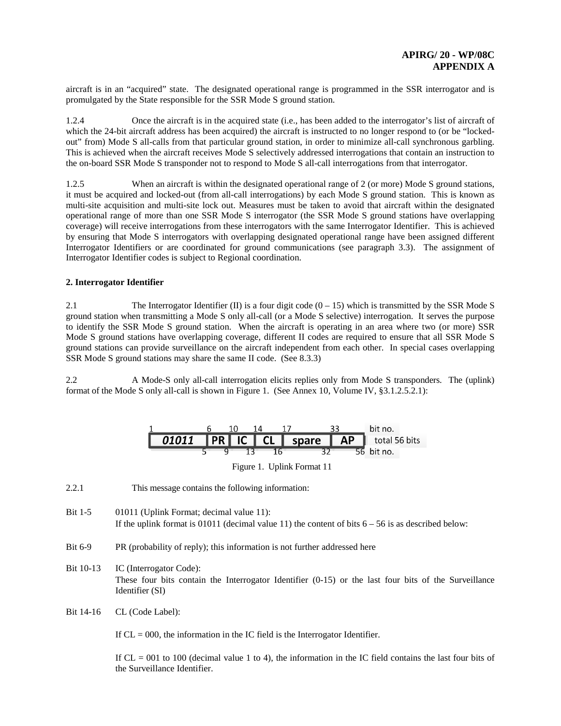aircraft is in an "acquired" state. The designated operational range is programmed in the SSR interrogator and is promulgated by the State responsible for the SSR Mode S ground station.

1.2.4 Once the aircraft is in the acquired state (i.e., has been added to the interrogator's list of aircraft of which the 24-bit aircraft address has been acquired) the aircraft is instructed to no longer respond to (or be "lockedout" from) Mode S all-calls from that particular ground station, in order to minimize all-call synchronous garbling. This is achieved when the aircraft receives Mode S selectively addressed interrogations that contain an instruction to the on-board SSR Mode S transponder not to respond to Mode S all-call interrogations from that interrogator.

1.2.5 When an aircraft is within the designated operational range of 2 (or more) Mode S ground stations, it must be acquired and locked-out (from all-call interrogations) by each Mode S ground station. This is known as multi-site acquisition and multi-site lock out. Measures must be taken to avoid that aircraft within the designated operational range of more than one SSR Mode S interrogator (the SSR Mode S ground stations have overlapping coverage) will receive interrogations from these interrogators with the same Interrogator Identifier. This is achieved by ensuring that Mode S interrogators with overlapping designated operational range have been assigned different Interrogator Identifiers or are coordinated for ground communications (see paragraph 3.3). The assignment of Interrogator Identifier codes is subject to Regional coordination.

# **2. Interrogator Identifier**

2.1 The Interrogator Identifier (II) is a four digit code  $(0 - 15)$  which is transmitted by the SSR Mode S ground station when transmitting a Mode S only all-call (or a Mode S selective) interrogation. It serves the purpose to identify the SSR Mode S ground station. When the aircraft is operating in an area where two (or more) SSR Mode S ground stations have overlapping coverage, different II codes are required to ensure that all SSR Mode S ground stations can provide surveillance on the aircraft independent from each other. In special cases overlapping SSR Mode S ground stations may share the same II code. (See 8.3.3)

2.2 A Mode-S only all-call interrogation elicits replies only from Mode S transponders. The (uplink) format of the Mode S only all-call is shown in Figure 1. (See Annex 10, Volume IV, §3.1.2.5.2.1):



Figure 1. Uplink Format 11

2.2.1 This message contains the following information:

- Bit 1-5 01011 (Uplink Format; decimal value 11): If the uplink format is 01011 (decimal value 11) the content of bits  $6 - 56$  is as described below:
- Bit 6-9 PR (probability of reply); this information is not further addressed here
- Bit 10-13 IC (Interrogator Code): These four bits contain the Interrogator Identifier (0-15) or the last four bits of the Surveillance Identifier (SI)
- Bit 14-16 CL (Code Label):

If  $CL = 000$ , the information in the IC field is the Interrogator Identifier.

If  $CL = 001$  to 100 (decimal value 1 to 4), the information in the IC field contains the last four bits of the Surveillance Identifier.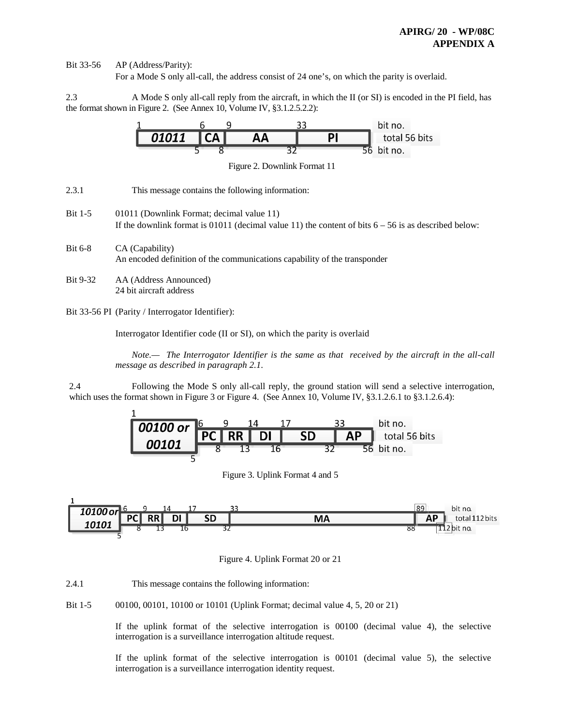Bit 33-56 AP (Address/Parity):

For a Mode S only all-call, the address consist of 24 one's, on which the parity is overlaid.

2.3 A Mode S only all-call reply from the aircraft, in which the II (or SI) is encoded in the PI field, has the format shown in Figure 2. (See Annex 10, Volume IV, §3.1.2.5.2.2):



Figure 2. Downlink Format 11

- 2.3.1 This message contains the following information:
- Bit 1-5 01011 (Downlink Format; decimal value 11) If the downlink format is  $01011$  (decimal value 11) the content of bits  $6 - 56$  is as described below:
- Bit 6-8 CA (Capability) An encoded definition of the communications capability of the transponder
- Bit 9-32 AA (Address Announced) 24 bit aircraft address
- Bit 33-56 PI (Parity / Interrogator Identifier):

Interrogator Identifier code (II or SI), on which the parity is overlaid

*Note.— The Interrogator Identifier is the same as that received by the aircraft in the all-call message as described in paragraph 2.1.* 

2.4 Following the Mode S only all-call reply, the ground station will send a selective interrogation, which uses the format shown in Figure 3 or Figure 4. (See Annex 10, Volume IV, §3.1.2.6.1 to §3.1.2.6.4):







Figure 4. Uplink Format 20 or 21

2.4.1 This message contains the following information:

Bit 1-5 00100, 00101, 10100 or 10101 (Uplink Format; decimal value 4, 5, 20 or 21)

If the uplink format of the selective interrogation is 00100 (decimal value 4), the selective interrogation is a surveillance interrogation altitude request.

If the uplink format of the selective interrogation is 00101 (decimal value 5), the selective interrogation is a surveillance interrogation identity request.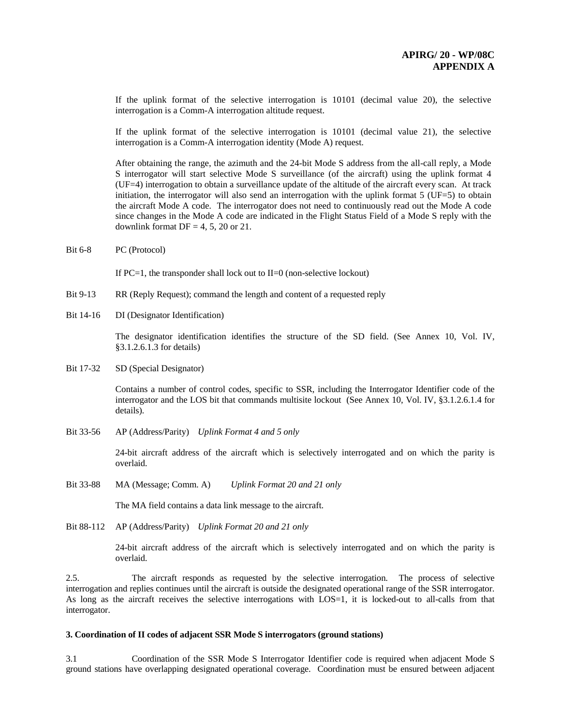If the uplink format of the selective interrogation is 10101 (decimal value 20), the selective interrogation is a Comm-A interrogation altitude request.

If the uplink format of the selective interrogation is 10101 (decimal value 21), the selective interrogation is a Comm-A interrogation identity (Mode A) request.

After obtaining the range, the azimuth and the 24-bit Mode S address from the all-call reply, a Mode S interrogator will start selective Mode S surveillance (of the aircraft) using the uplink format 4 (UF=4) interrogation to obtain a surveillance update of the altitude of the aircraft every scan. At track initiation, the interrogator will also send an interrogation with the uplink format 5 (UF=5) to obtain the aircraft Mode A code. The interrogator does not need to continuously read out the Mode A code since changes in the Mode A code are indicated in the Flight Status Field of a Mode S reply with the downlink format  $DF = 4, 5, 20$  or 21.

Bit 6-8 PC (Protocol)

If  $PC=1$ , the transponder shall lock out to II=0 (non-selective lockout)

- Bit 9-13 RR (Reply Request); command the length and content of a requested reply
- Bit 14-16 DI (Designator Identification)

The designator identification identifies the structure of the SD field. (See Annex 10, Vol. IV, §3.1.2.6.1.3 for details)

Bit 17-32 SD (Special Designator)

Contains a number of control codes, specific to SSR, including the Interrogator Identifier code of the interrogator and the LOS bit that commands multisite lockout (See Annex 10, Vol. IV, §3.1.2.6.1.4 for details).

Bit 33-56 AP (Address/Parity) *Uplink Format 4 and 5 only*

24-bit aircraft address of the aircraft which is selectively interrogated and on which the parity is overlaid.

Bit 33-88 MA (Message; Comm. A) *Uplink Format 20 and 21 only*

The MA field contains a data link message to the aircraft.

Bit 88-112 AP (Address/Parity) *Uplink Format 20 and 21 only*

24-bit aircraft address of the aircraft which is selectively interrogated and on which the parity is overlaid.

2.5. The aircraft responds as requested by the selective interrogation. The process of selective interrogation and replies continues until the aircraft is outside the designated operational range of the SSR interrogator. As long as the aircraft receives the selective interrogations with LOS=1, it is locked-out to all-calls from that interrogator.

#### **3. Coordination of II codes of adjacent SSR Mode S interrogators (ground stations)**

3.1 Coordination of the SSR Mode S Interrogator Identifier code is required when adjacent Mode S ground stations have overlapping designated operational coverage. Coordination must be ensured between adjacent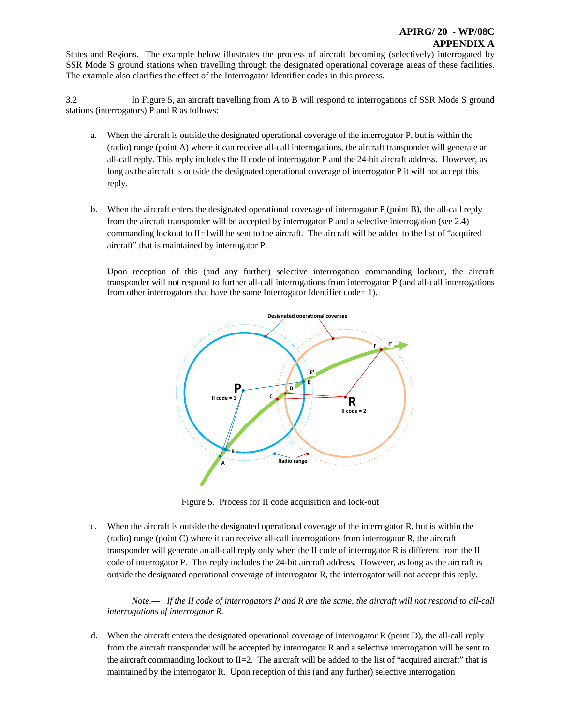States and Regions. The example below illustrates the process of aircraft becoming (selectively) interrogated by SSR Mode S ground stations when travelling through the designated operational coverage areas of these facilities. The example also clarifies the effect of the Interrogator Identifier codes in this process.

3.2 In Figure 5, an aircraft travelling from A to B will respond to interrogations of SSR Mode S ground stations (interrogators) P and R as follows:

- a. When the aircraft is outside the designated operational coverage of the interrogator P, but is within the (radio) range (point A) where it can receive all-call interrogations, the aircraft transponder will generate an all-call reply. This reply includes the II code of interrogator P and the 24-bit aircraft address. However, as long as the aircraft is outside the designated operational coverage of interrogator P it will not accept this reply.
- b. When the aircraft enters the designated operational coverage of interrogator P (point B), the all-call reply from the aircraft transponder will be accepted by interrogator P and a selective interrogation (see 2.4) commanding lockout to II=1will be sent to the aircraft. The aircraft will be added to the list of "acquired aircraft" that is maintained by interrogator P.

Upon reception of this (and any further) selective interrogation commanding lockout, the aircraft transponder will not respond to further all-call interrogations from interrogator P (and all-call interrogations from other interrogators that have the same Interrogator Identifier code= 1).



Figure 5. Process for II code acquisition and lock-out

c. When the aircraft is outside the designated operational coverage of the interrogator R, but is within the (radio) range (point C) where it can receive all-call interrogations from interrogator R, the aircraft transponder will generate an all-call reply only when the II code of interrogator R is different from the II code of interrogator P. This reply includes the 24-bit aircraft address. However, as long as the aircraft is outside the designated operational coverage of interrogator R, the interrogator will not accept this reply.

*Note.— If the II code of interrogators P and R are the same, the aircraft will not respond to all-call interrogations of interrogator R.* 

d. When the aircraft enters the designated operational coverage of interrogator R (point D), the all-call reply from the aircraft transponder will be accepted by interrogator R and a selective interrogation will be sent to the aircraft commanding lockout to II=2. The aircraft will be added to the list of "acquired aircraft" that is maintained by the interrogator R. Upon reception of this (and any further) selective interrogation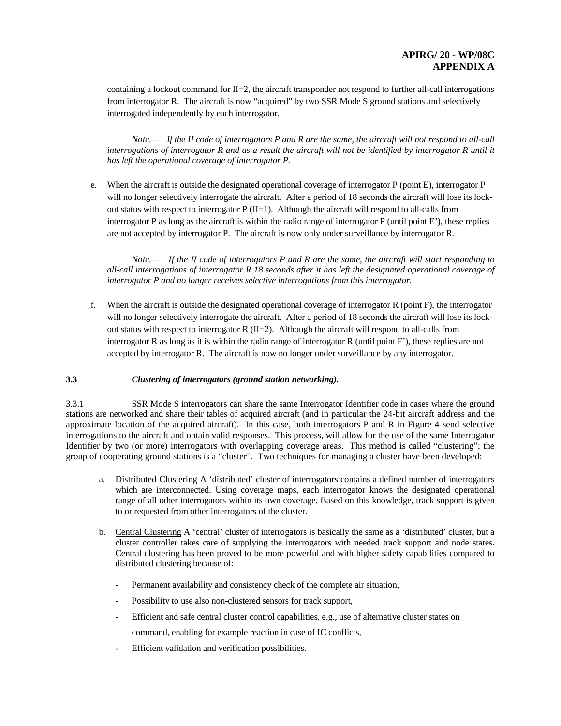containing a lockout command for  $II=2$ , the aircraft transponder not respond to further all-call interrogations from interrogator R. The aircraft is now "acquired" by two SSR Mode S ground stations and selectively interrogated independently by each interrogator.

*Note.— If the II code of interrogators P and R are the same, the aircraft will not respond to all-call*  interrogations of interrogator R and as a result the aircraft will not be identified by interrogator R until it *has left the operational coverage of interrogator P.* 

e. When the aircraft is outside the designated operational coverage of interrogator P (point E), interrogator P will no longer selectively interrogate the aircraft. After a period of 18 seconds the aircraft will lose its lockout status with respect to interrogator  $P (II=1)$ . Although the aircraft will respond to all-calls from interrogator P as long as the aircraft is within the radio range of interrogator P (until point  $E'$ ), these replies are not accepted by interrogator P. The aircraft is now only under surveillance by interrogator R.

*Note.— If the II code of interrogators P and R are the same, the aircraft will start responding to all-call interrogations of interrogator R 18 seconds after it has left the designated operational coverage of interrogator P and no longer receives selective interrogations from this interrogator.* 

f. When the aircraft is outside the designated operational coverage of interrogator R (point F), the interrogator will no longer selectively interrogate the aircraft. After a period of 18 seconds the aircraft will lose its lockout status with respect to interrogator R  $(II=2)$ . Although the aircraft will respond to all-calls from interrogator R as long as it is within the radio range of interrogator R (until point F'), these replies are not accepted by interrogator R. The aircraft is now no longer under surveillance by any interrogator.

# **3.3** *Clustering of interrogators (ground station networking).*

3.3.1 SSR Mode S interrogators can share the same Interrogator Identifier code in cases where the ground stations are networked and share their tables of acquired aircraft (and in particular the 24-bit aircraft address and the approximate location of the acquired aircraft). In this case, both interrogators P and R in Figure 4 send selective interrogations to the aircraft and obtain valid responses. This process, will allow for the use of the same Interrogator Identifier by two (or more) interrogators with overlapping coverage areas. This method is called "clustering"; the group of cooperating ground stations is a "cluster". Two techniques for managing a cluster have been developed:

- a. Distributed Clustering A 'distributed' cluster of interrogators contains a defined number of interrogators which are interconnected. Using coverage maps, each interrogator knows the designated operational range of all other interrogators within its own coverage. Based on this knowledge, track support is given to or requested from other interrogators of the cluster.
- b. Central Clustering A 'central' cluster of interrogators is basically the same as a 'distributed' cluster, but a cluster controller takes care of supplying the interrogators with needed track support and node states. Central clustering has been proved to be more powerful and with higher safety capabilities compared to distributed clustering because of:
	- Permanent availability and consistency check of the complete air situation,
	- Possibility to use also non-clustered sensors for track support,
	- Efficient and safe central cluster control capabilities, e.g., use of alternative cluster states on

command, enabling for example reaction in case of IC conflicts,

Efficient validation and verification possibilities.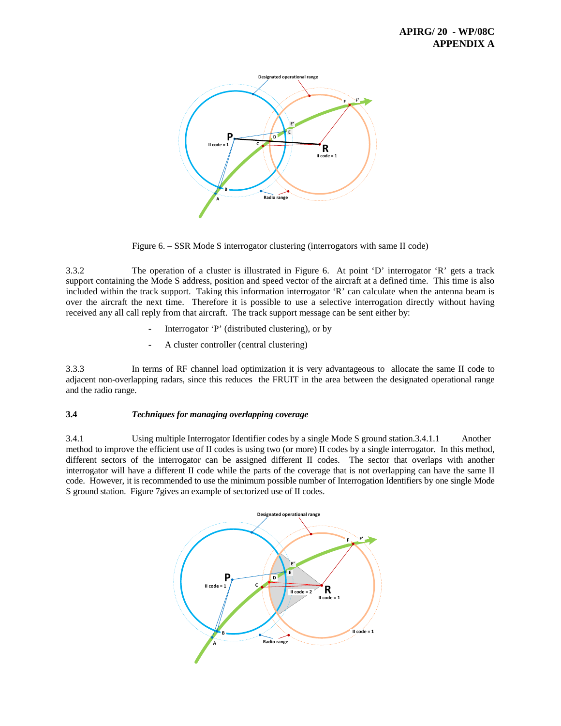

Figure 6. – SSR Mode S interrogator clustering (interrogators with same II code)

3.3.2 The operation of a cluster is illustrated in Figure 6. At point 'D' interrogator 'R' gets a track support containing the Mode S address, position and speed vector of the aircraft at a defined time. This time is also included within the track support. Taking this information interrogator 'R' can calculate when the antenna beam is over the aircraft the next time. Therefore it is possible to use a selective interrogation directly without having received any all call reply from that aircraft. The track support message can be sent either by:

- Interrogator 'P' (distributed clustering), or by
- A cluster controller (central clustering)

3.3.3 In terms of RF channel load optimization it is very advantageous to allocate the same II code to adjacent non-overlapping radars, since this reduces the FRUIT in the area between the designated operational range and the radio range.

# **3.4** *Techniques for managing overlapping coverage*

3.4.1 Using multiple Interrogator Identifier codes by a single Mode S ground station.3.4.1.1 Another method to improve the efficient use of II codes is using two (or more) II codes by a single interrogator. In this method, different sectors of the interrogator can be assigned different II codes. The sector that overlaps with another interrogator will have a different II code while the parts of the coverage that is not overlapping can have the same II code. However, it is recommended to use the minimum possible number of Interrogation Identifiers by one single Mode S ground station. Figure 7gives an example of sectorized use of II codes.

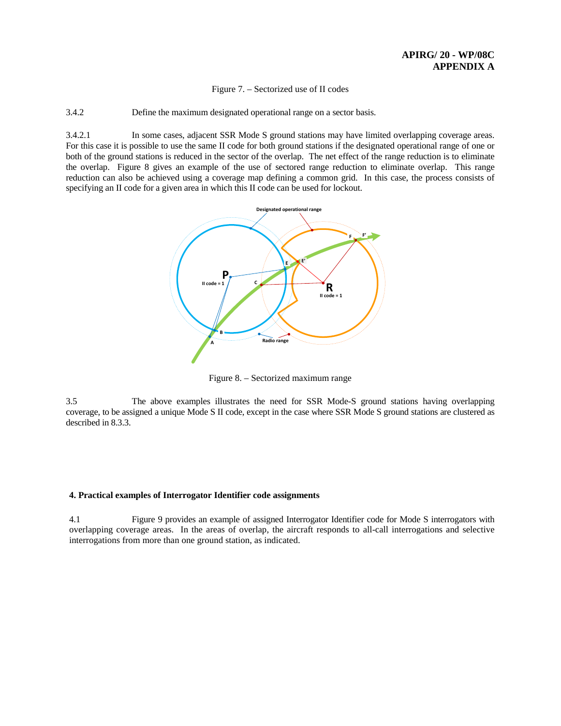Figure 7. – Sectorized use of II codes

3.4.2 Define the maximum designated operational range on a sector basis.

3.4.2.1 In some cases, adjacent SSR Mode S ground stations may have limited overlapping coverage areas. For this case it is possible to use the same II code for both ground stations if the designated operational range of one or both of the ground stations is reduced in the sector of the overlap. The net effect of the range reduction is to eliminate the overlap. Figure 8 gives an example of the use of sectored range reduction to eliminate overlap. This range reduction can also be achieved using a coverage map defining a common grid. In this case, the process consists of specifying an II code for a given area in which this II code can be used for lockout.



Figure 8. – Sectorized maximum range

3.5 The above examples illustrates the need for SSR Mode-S ground stations having overlapping coverage, to be assigned a unique Mode S II code, except in the case where SSR Mode S ground stations are clustered as described in 8.3.3.

#### **4. Practical examples of Interrogator Identifier code assignments**

4.1 Figure 9 provides an example of assigned Interrogator Identifier code for Mode S interrogators with overlapping coverage areas. In the areas of overlap, the aircraft responds to all-call interrogations and selective interrogations from more than one ground station, as indicated.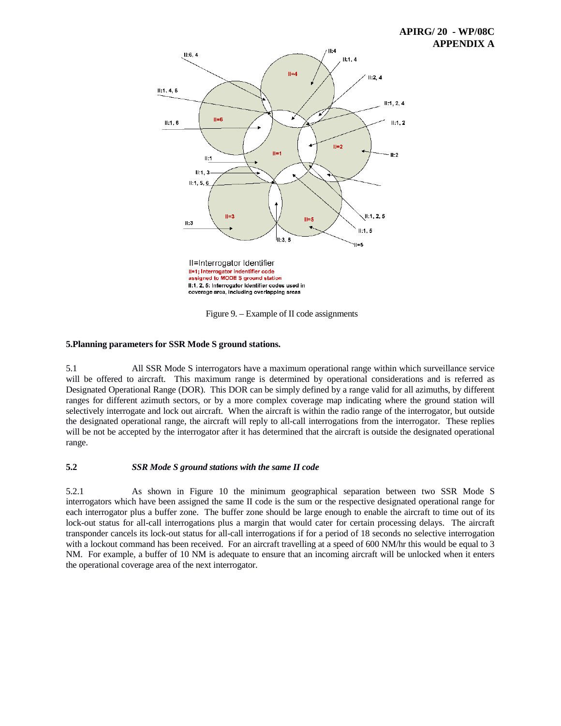

Figure 9. – Example of II code assignments

#### **5.Planning parameters for SSR Mode S ground stations.**

5.1 All SSR Mode S interrogators have a maximum operational range within which surveillance service will be offered to aircraft. This maximum range is determined by operational considerations and is referred as Designated Operational Range (DOR). This DOR can be simply defined by a range valid for all azimuths, by different ranges for different azimuth sectors, or by a more complex coverage map indicating where the ground station will selectively interrogate and lock out aircraft. When the aircraft is within the radio range of the interrogator, but outside the designated operational range, the aircraft will reply to all-call interrogations from the interrogator. These replies will be not be accepted by the interrogator after it has determined that the aircraft is outside the designated operational range.

# **5.2** *SSR Mode S ground stations with the same II code*

5.2.1 As shown in Figure 10 the minimum geographical separation between two SSR Mode S interrogators which have been assigned the same II code is the sum or the respective designated operational range for each interrogator plus a buffer zone. The buffer zone should be large enough to enable the aircraft to time out of its lock-out status for all-call interrogations plus a margin that would cater for certain processing delays. The aircraft transponder cancels its lock-out status for all-call interrogations if for a period of 18 seconds no selective interrogation with a lockout command has been received. For an aircraft travelling at a speed of 600 NM/hr this would be equal to 3 NM. For example, a buffer of 10 NM is adequate to ensure that an incoming aircraft will be unlocked when it enters the operational coverage area of the next interrogator.